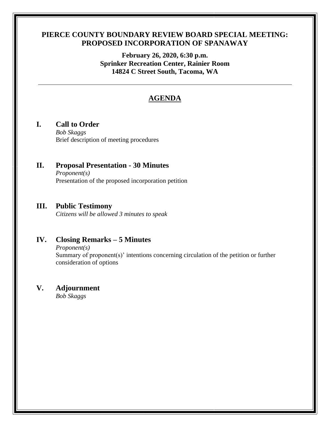### **PIERCE COUNTY BOUNDARY REVIEW BOARD SPECIAL MEETING: PROPOSED INCORPORATION OF SPANAWAY**

**February 26, 2020, 6:30 p.m. Sprinker Recreation Center, Rainier Room 14824 C Street South, Tacoma, WA**

# **AGENDA**

## **I. Call to Order**

*Bob Skaggs* Brief description of meeting procedures

### **II. Proposal Presentation - 30 Minutes** *Proponent(s)*

Presentation of the proposed incorporation petition

### **III. Public Testimony**

*Citizens will be allowed 3 minutes to speak*

# **IV. Closing Remarks – 5 Minutes**

*Proponent(s)*

Summary of proponent(s)' intentions concerning circulation of the petition or further consideration of options

## **V. Adjournment**

*Bob Skaggs*